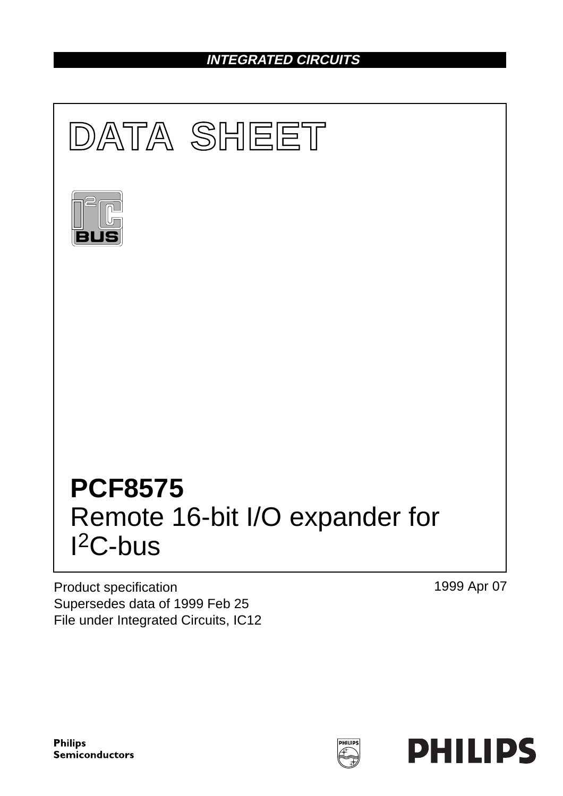## **INTEGRATED CIRCUITS**



Product specification Supersedes data of 1999 Feb 25 File under Integrated Circuits, IC12 1999 Apr 07

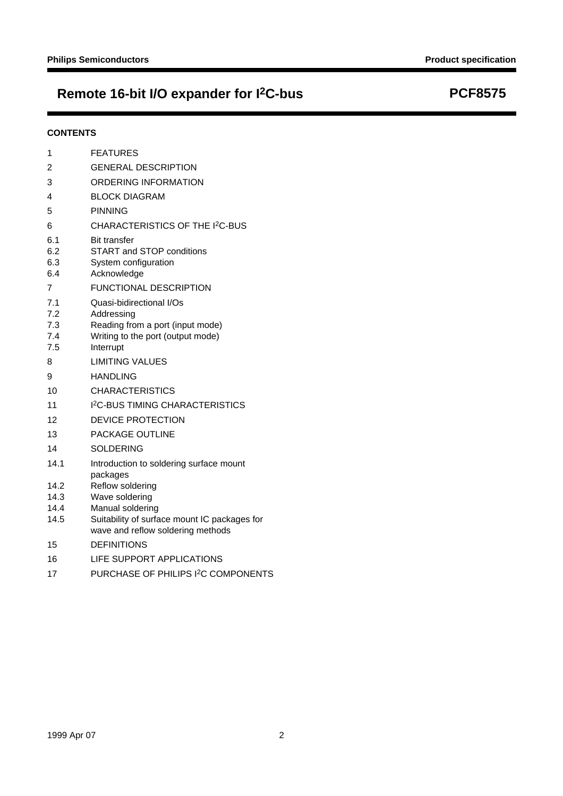## **Remote 16-bit I/O expander for I2C-bus PCF8575**

### **CONTENTS**

| 1                               | <b>FEATURES</b>                                                                                                              |
|---------------------------------|------------------------------------------------------------------------------------------------------------------------------|
| 2                               | <b>GENERAL DESCRIPTION</b>                                                                                                   |
| 3                               | ORDERING INFORMATION                                                                                                         |
| 4                               | <b>BLOCK DIAGRAM</b>                                                                                                         |
| 5                               | <b>PINNING</b>                                                                                                               |
| 6                               | CHARACTERISTICS OF THE I <sup>2</sup> C-BUS                                                                                  |
| 6.1<br>6.2<br>6.3<br>6.4        | <b>Bit transfer</b><br><b>START and STOP conditions</b><br>System configuration<br>Acknowledge                               |
| 7                               | <b>FUNCTIONAL DESCRIPTION</b>                                                                                                |
| 7.1<br>7.2<br>7.3<br>7.4<br>7.5 | Quasi-bidirectional I/Os<br>Addressing<br>Reading from a port (input mode)<br>Writing to the port (output mode)<br>Interrupt |
| 8                               | <b>LIMITING VALUES</b>                                                                                                       |
| 9                               | <b>HANDLING</b>                                                                                                              |
| 10                              | <b>CHARACTERISTICS</b>                                                                                                       |
| 11                              | <b>I<sup>2</sup>C-BUS TIMING CHARACTERISTICS</b>                                                                             |
| 12                              | <b>DEVICE PROTECTION</b>                                                                                                     |
| 13                              | <b>PACKAGE OUTLINE</b>                                                                                                       |
| 14                              | <b>SOLDERING</b>                                                                                                             |
| 14.1                            | Introduction to soldering surface mount<br>packages                                                                          |
| 14.2                            | Reflow soldering                                                                                                             |
| 14.3                            | Wave soldering                                                                                                               |
| 14.4<br>14.5                    | Manual soldering<br>Suitability of surface mount IC packages for<br>wave and reflow soldering methods                        |
| 15                              | <b>DEFINITIONS</b>                                                                                                           |
| 16                              | LIFE SUPPORT APPLICATIONS                                                                                                    |
| 17                              | PURCHASE OF PHILIPS I <sup>2</sup> C COMPONENTS                                                                              |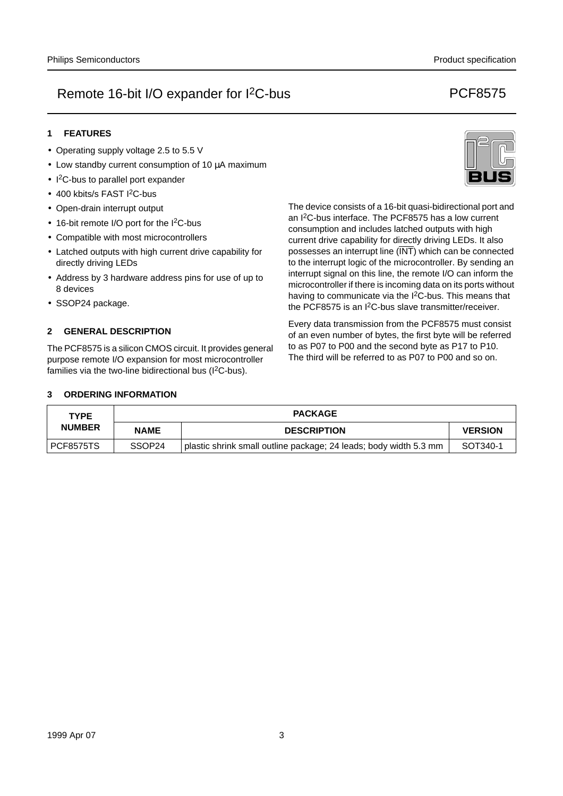### **1 FEATURES**

- Operating supply voltage 2.5 to 5.5 V
- Low standby current consumption of 10 µA maximum
- I 2C-bus to parallel port expander
- 400 kbits/s FAST I<sup>2</sup>C-bus
- Open-drain interrupt output
- 16-bit remote I/O port for the I<sup>2</sup>C-bus
- Compatible with most microcontrollers
- Latched outputs with high current drive capability for directly driving LEDs
- Address by 3 hardware address pins for use of up to 8 devices
- SSOP24 package.

### **2 GENERAL DESCRIPTION**

The PCF8575 is a silicon CMOS circuit. It provides general purpose remote I/O expansion for most microcontroller families via the two-line bidirectional bus  $(1^2C$ -bus).

The device consists of a 16-bit quasi-bidirectional port and an I2C-bus interface. The PCF8575 has a low current consumption and includes latched outputs with high current drive capability for directly driving LEDs. It also possesses an interrupt line (INT) which can be connected to the interrupt logic of the microcontroller. By sending an interrupt signal on this line, the remote I/O can inform the microcontroller if there is incoming data on its ports without having to communicate via the I<sup>2</sup>C-bus. This means that

Every data transmission from the PCF8575 must consist of an even number of bytes, the first byte will be referred to as P07 to P00 and the second byte as P17 to P10. The third will be referred to as P07 to P00 and so on.

the PCF8575 is an I2C-bus slave transmitter/receiver.

#### **3 ORDERING INFORMATION**

| <b>TYPE</b>   |                    | <b>PACKAGE</b>                                                    |                |
|---------------|--------------------|-------------------------------------------------------------------|----------------|
| <b>NUMBER</b> | <b>NAME</b>        | <b>DESCRIPTION</b>                                                | <b>VERSION</b> |
| PCF8575TS     | SSOP <sub>24</sub> | plastic shrink small outline package; 24 leads; body width 5.3 mm | SOT340-1       |

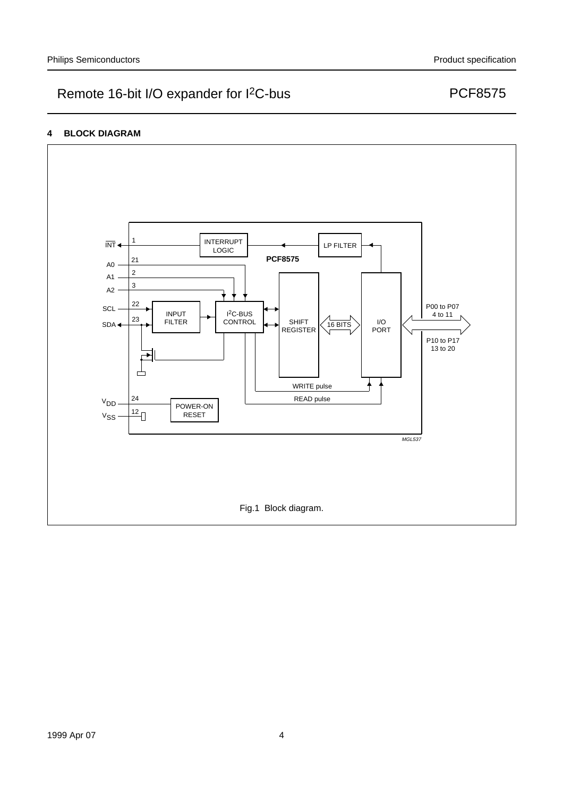### **4 BLOCK DIAGRAM**

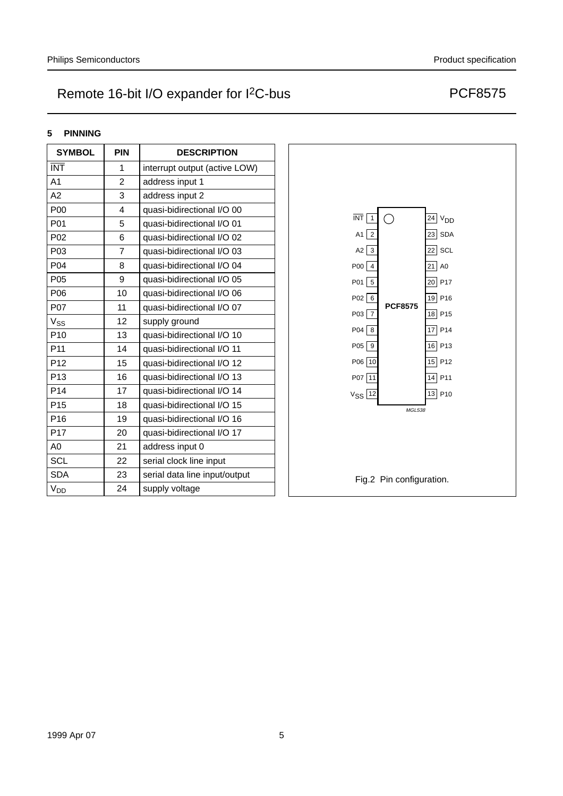### **5 PINNING**

| <b>SYMBOL</b>           | <b>PIN</b>     | <b>DESCRIPTION</b>            |
|-------------------------|----------------|-------------------------------|
| $\overline{\text{INT}}$ | 1              | interrupt output (active LOW) |
| A <sub>1</sub>          | $\overline{2}$ | address input 1               |
| A <sub>2</sub>          | 3              | address input 2               |
| P <sub>00</sub>         | 4              | quasi-bidirectional I/O 00    |
| P01                     | 5              | quasi-bidirectional I/O 01    |
| P02                     | 6              | quasi-bidirectional I/O 02    |
| P <sub>0</sub> 3        | $\overline{7}$ | quasi-bidirectional I/O 03    |
| P04                     | 8              | quasi-bidirectional I/O 04    |
| P05                     | 9              | quasi-bidirectional I/O 05    |
| P06                     | 10             | quasi-bidirectional I/O 06    |
| P07                     | 11             | quasi-bidirectional I/O 07    |
| V <sub>SS</sub>         | 12             | supply ground                 |
| P <sub>10</sub>         | 13             | quasi-bidirectional I/O 10    |
| P11                     | 14             | quasi-bidirectional I/O 11    |
| P <sub>12</sub>         | 15             | quasi-bidirectional I/O 12    |
| P <sub>13</sub>         | 16             | quasi-bidirectional I/O 13    |
| P <sub>14</sub>         | 17             | quasi-bidirectional I/O 14    |
| P <sub>15</sub>         | 18             | quasi-bidirectional I/O 15    |
| P <sub>16</sub>         | 19             | quasi-bidirectional I/O 16    |
| P17                     | 20             | quasi-bidirectional I/O 17    |
| A0                      | 21             | address input 0               |
| <b>SCL</b>              | 22             | serial clock line input       |
| <b>SDA</b>              | 23             | serial data line input/output |
| <b>V<sub>DD</sub></b>   | 24             | supply voltage                |

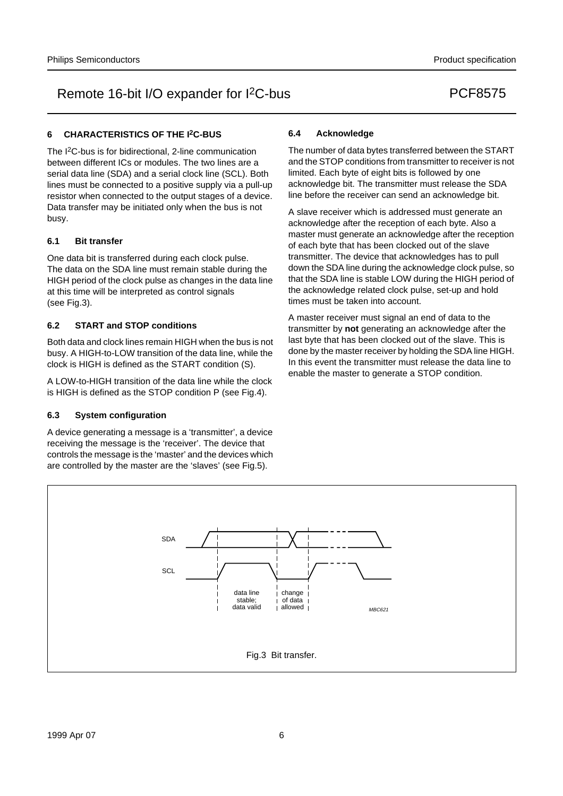#### **6 CHARACTERISTICS OF THE I2C-BUS**

The I2C-bus is for bidirectional, 2-line communication between different ICs or modules. The two lines are a serial data line (SDA) and a serial clock line (SCL). Both lines must be connected to a positive supply via a pull-up resistor when connected to the output stages of a device. Data transfer may be initiated only when the bus is not busy.

#### **6.1 Bit transfer**

One data bit is transferred during each clock pulse. The data on the SDA line must remain stable during the HIGH period of the clock pulse as changes in the data line at this time will be interpreted as control signals (see Fig.3).

#### **6.2 START and STOP conditions**

Both data and clock lines remain HIGH when the bus is not busy. A HIGH-to-LOW transition of the data line, while the clock is HIGH is defined as the START condition (S).

A LOW-to-HIGH transition of the data line while the clock is HIGH is defined as the STOP condition P (see Fig.4).

#### **6.3 System configuration**

A device generating a message is a 'transmitter', a device receiving the message is the 'receiver'. The device that controls the message is the 'master' and the devices which are controlled by the master are the 'slaves' (see Fig.5).

#### **6.4 Acknowledge**

The number of data bytes transferred between the START and the STOP conditions from transmitter to receiver is not limited. Each byte of eight bits is followed by one acknowledge bit. The transmitter must release the SDA line before the receiver can send an acknowledge bit.

A slave receiver which is addressed must generate an acknowledge after the reception of each byte. Also a master must generate an acknowledge after the reception of each byte that has been clocked out of the slave transmitter. The device that acknowledges has to pull down the SDA line during the acknowledge clock pulse, so that the SDA line is stable LOW during the HIGH period of the acknowledge related clock pulse, set-up and hold times must be taken into account.

A master receiver must signal an end of data to the transmitter by **not** generating an acknowledge after the last byte that has been clocked out of the slave. This is done by the master receiver by holding the SDA line HIGH. In this event the transmitter must release the data line to enable the master to generate a STOP condition.

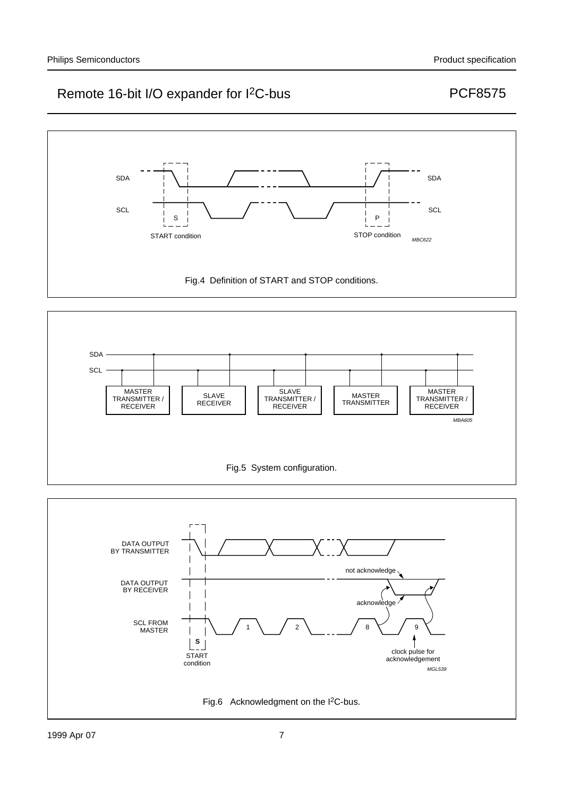



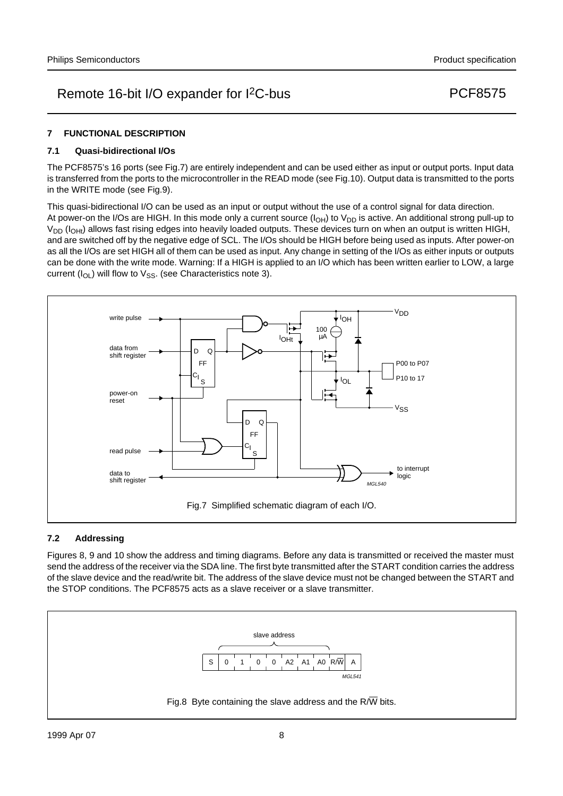### **7 FUNCTIONAL DESCRIPTION**

#### **7.1 Quasi-bidirectional I/Os**

The PCF8575's 16 ports (see Fig.7) are entirely independent and can be used either as input or output ports. Input data is transferred from the ports to the microcontroller in the READ mode (see Fig.10). Output data is transmitted to the ports in the WRITE mode (see Fig.9).

This quasi-bidirectional I/O can be used as an input or output without the use of a control signal for data direction. At power-on the I/Os are HIGH. In this mode only a current source  $(I<sub>OH</sub>)$  to  $V<sub>DD</sub>$  is active. An additional strong pull-up to  $V_{DD}$  ( $I_{OH}$ ) allows fast rising edges into heavily loaded outputs. These devices turn on when an output is written HIGH, and are switched off by the negative edge of SCL. The I/Os should be HIGH before being used as inputs. After power-on as all the I/Os are set HIGH all of them can be used as input. Any change in setting of the I/Os as either inputs or outputs can be done with the write mode. Warning: If a HIGH is applied to an I/O which has been written earlier to LOW, a large current ( $I_{OL}$ ) will flow to  $V_{SS}$ . (see Characteristics note 3).



### **7.2 Addressing**

Figures 8, 9 and 10 show the address and timing diagrams. Before any data is transmitted or received the master must send the address of the receiver via the SDA line. The first byte transmitted after the START condition carries the address of the slave device and the read/write bit. The address of the slave device must not be changed between the START and the STOP conditions. The PCF8575 acts as a slave receiver or a slave transmitter.

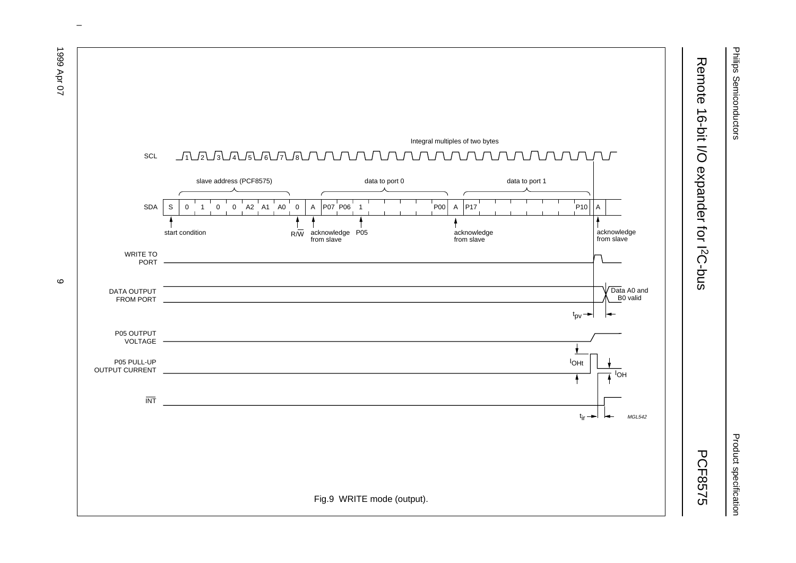

Philips Semiconductors

Philips Semiconductors

Product specification

Product specification



 $\circ$ 

1999 Apr 07 1999  $A$ pr 07  $\sigma$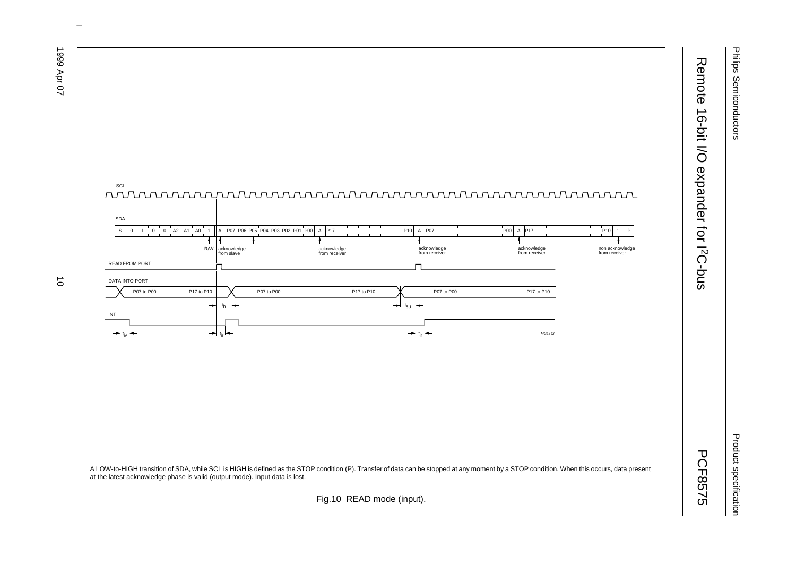Philips Semiconductors Philips Semiconductors

Remote 16-bit I/O expander for I

Remote 16-bit I/O expander for I<sup>2</sup>C-bus

Product specification Product specification

PCF8575



 $\omega$  rotated correctly when browsing through the pdf in the Acrobat reader.This text is here in the pdf in the  $\alpha$ 

1999 Apr 07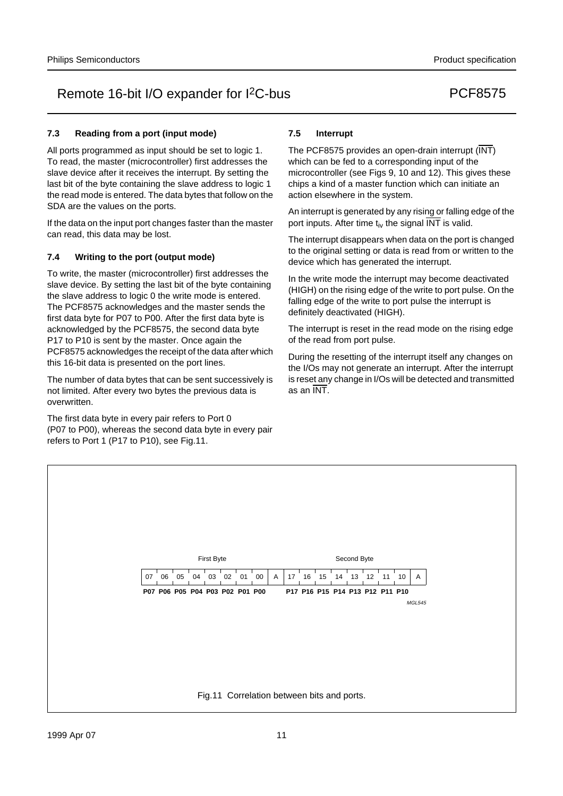### **7.3 Reading from a port (input mode)**

All ports programmed as input should be set to logic 1. To read, the master (microcontroller) first addresses the slave device after it receives the interrupt. By setting the last bit of the byte containing the slave address to logic 1 the read mode is entered. The data bytes that follow on the SDA are the values on the ports.

If the data on the input port changes faster than the master can read, this data may be lost.

### **7.4 Writing to the port (output mode)**

To write, the master (microcontroller) first addresses the slave device. By setting the last bit of the byte containing the slave address to logic 0 the write mode is entered. The PCF8575 acknowledges and the master sends the first data byte for P07 to P00. After the first data byte is acknowledged by the PCF8575, the second data byte P17 to P10 is sent by the master. Once again the PCF8575 acknowledges the receipt of the data after which this 16-bit data is presented on the port lines.

The number of data bytes that can be sent successively is not limited. After every two bytes the previous data is overwritten.

The first data byte in every pair refers to Port 0 (P07 to P00), whereas the second data byte in every pair refers to Port 1 (P17 to P10), see Fig.11.

### **7.5 Interrupt**

The PCF8575 provides an open-drain interrupt (INT) which can be fed to a corresponding input of the microcontroller (see Figs 9, 10 and 12). This gives these chips a kind of a master function which can initiate an action elsewhere in the system.

An interrupt is generated by any rising or falling edge of the port inputs. After time  $t_{iv}$  the signal  $\overline{INT}$  is valid.

The interrupt disappears when data on the port is changed to the original setting or data is read from or written to the device which has generated the interrupt.

In the write mode the interrupt may become deactivated (HIGH) on the rising edge of the write to port pulse. On the falling edge of the write to port pulse the interrupt is definitely deactivated (HIGH).

The interrupt is reset in the read mode on the rising edge of the read from port pulse.

During the resetting of the interrupt itself any changes on the I/Os may not generate an interrupt. After the interrupt is reset any change in I/Os will be detected and transmitted as an INT.

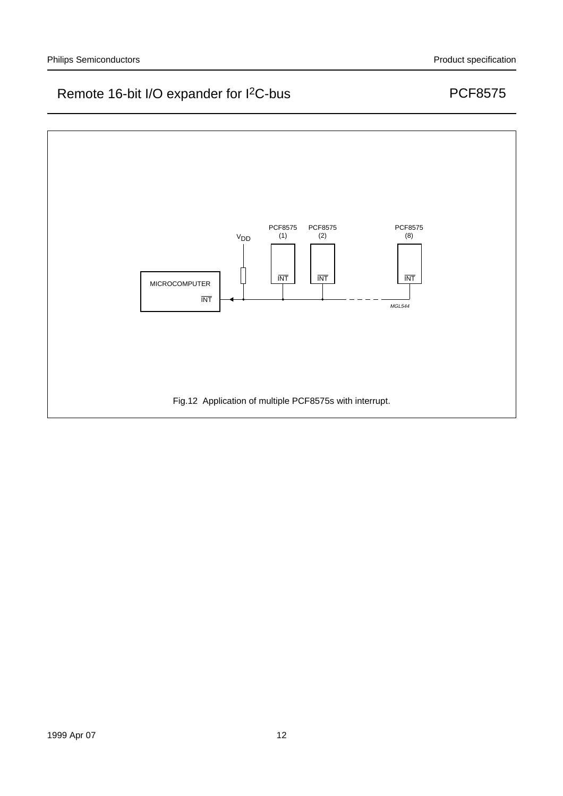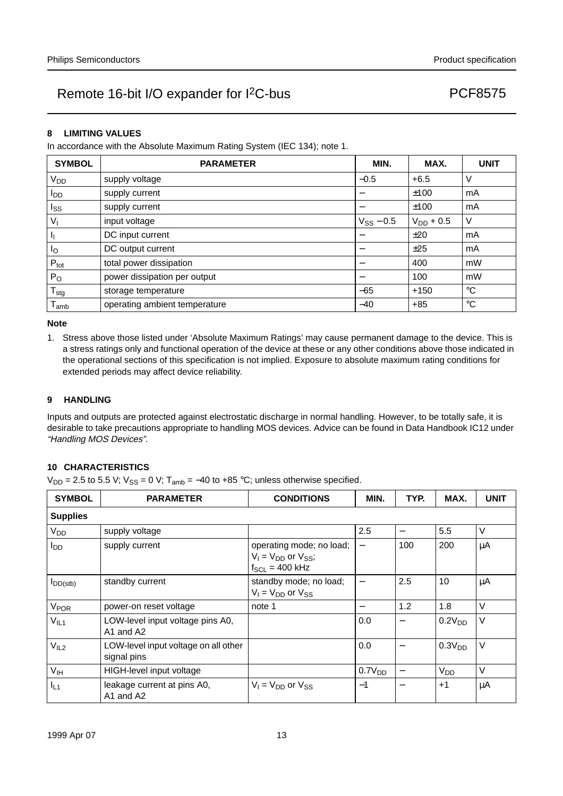#### **8 LIMITING VALUES**

In accordance with the Absolute Maximum Rating System (IEC 134); note 1.

| <b>SYMBOL</b>    | <b>PARAMETER</b>              | MIN.           | MAX.           | <b>UNIT</b>     |
|------------------|-------------------------------|----------------|----------------|-----------------|
| V <sub>DD</sub>  | supply voltage                | $-0.5$         | $+6.5$         | V               |
| l <sub>DD</sub>  | supply current                |                | ±100           | mA              |
| Iss              | supply current                |                | ±100           | mA              |
| $V_{I}$          | input voltage                 | $V_{SS}$ – 0.5 | $V_{DD}$ + 0.5 | V               |
| -lj              | DC input current              |                | ±20            | mA              |
| Ιo               | DC output current             |                | ±25            | mA              |
| $P_{\text{tot}}$ | total power dissipation       |                | 400            | mW              |
| $P_{O}$          | power dissipation per output  |                | 100            | mW              |
| $T_{\text{stg}}$ | storage temperature           | $-65$          | $+150$         | $^{\circ}C$     |
| l amb            | operating ambient temperature | $-40$          | $+85$          | $\rm ^{\circ}C$ |

#### **Note**

1. Stress above those listed under 'Absolute Maximum Ratings' may cause permanent damage to the device. This is a stress ratings only and functional operation of the device at these or any other conditions above those indicated in the operational sections of this specification is not implied. Exposure to absolute maximum rating conditions for extended periods may affect device reliability.

#### **9 HANDLING**

Inputs and outputs are protected against electrostatic discharge in normal handling. However, to be totally safe, it is desirable to take precautions appropriate to handling MOS devices. Advice can be found in Data Handbook IC12 under "Handling MOS Devices".

#### **10 CHARACTERISTICS**

 $V_{DD}$  = 2.5 to 5.5 V;  $V_{SS}$  = 0 V; T<sub>amb</sub> = -40 to +85 °C; unless otherwise specified.

| <b>SYMBOL</b>          | <b>PARAMETER</b>                                    | <b>CONDITIONS</b>                                                               | MIN.                     | TYP. | MAX.                  | <b>UNIT</b> |
|------------------------|-----------------------------------------------------|---------------------------------------------------------------------------------|--------------------------|------|-----------------------|-------------|
| <b>Supplies</b>        |                                                     |                                                                                 |                          |      |                       |             |
| V <sub>DD</sub>        | supply voltage                                      |                                                                                 | 2.5                      | —    | 5.5                   | V           |
| <b>I</b> <sub>DD</sub> | supply current                                      | operating mode; no load;<br>$V_1 = V_{DD}$ or $V_{SS}$ ;<br>$f_{SCL} = 400$ kHz | $\overline{\phantom{0}}$ | 100  | 200                   | μA          |
| $I_{DD(stb)}$          | standby current                                     | standby mode; no load;<br>$V_1 = V_{DD}$ or $V_{SS}$                            |                          | 2.5  | 10                    | μA          |
| V <sub>POR</sub>       | power-on reset voltage                              | note 1                                                                          |                          | 1.2  | 1.8                   | V           |
| V <sub>IL1</sub>       | LOW-level input voltage pins A0,<br>A1 and A2       |                                                                                 | 0.0                      |      | 0.2V <sub>DD</sub>    | V           |
| V <sub>IL2</sub>       | LOW-level input voltage on all other<br>signal pins |                                                                                 | 0.0                      | —    | 0.3V <sub>DD</sub>    | $\vee$      |
| $V_{\text{IH}}$        | HIGH-level input voltage                            |                                                                                 | 0.7V <sub>DD</sub>       |      | <b>V<sub>DD</sub></b> | $\vee$      |
| IL <sub>1</sub>        | leakage current at pins A0,<br>A1 and A2            | $V_1 = V_{DD}$ or $V_{SS}$                                                      | $-1$                     |      | $+1$                  | μA          |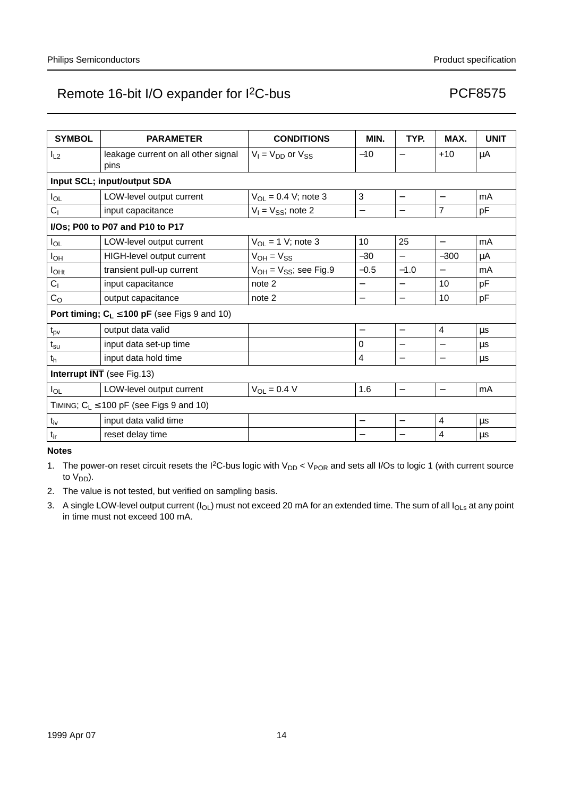| <b>SYMBOL</b>              | <b>PARAMETER</b>                                  | <b>CONDITIONS</b>             | MIN.         | TYP.                     | MAX.                     | <b>UNIT</b> |
|----------------------------|---------------------------------------------------|-------------------------------|--------------|--------------------------|--------------------------|-------------|
| $I_{L2}$                   | leakage current on all other signal               | $V_1 = V_{DD}$ or $V_{SS}$    | $-10$        |                          | $+10$                    | μA          |
|                            | pins                                              |                               |              |                          |                          |             |
|                            | Input SCL; input/output SDA                       |                               |              |                          |                          |             |
| $I_{OL}$                   | LOW-level output current                          | $V_{OL} = 0.4 V$ ; note 3     | $\mathbf{3}$ | $\overline{\phantom{0}}$ |                          | mA          |
| C <sub>1</sub>             | input capacitance                                 | $V_1 = V_{SS}$ ; note 2       | —            | —                        | $\overline{7}$           | pF          |
|                            | I/Os; P00 to P07 and P10 to P17                   |                               |              |                          |                          |             |
| $I_{OL}$                   | LOW-level output current                          | $V_{OL} = 1$ V; note 3        | 10           | 25                       | $\overline{\phantom{0}}$ | mA          |
| $I_{OH}$                   | HIGH-level output current                         | $V_{OH} = V_{SS}$             | $-30$        | —                        | $-300$                   | μA          |
| $I_{OHt}$                  | transient pull-up current                         | $V_{OH} = V_{SS}$ ; see Fig.9 | $-0.5$       | $-1.0$                   | $\qquad \qquad -$        | mA          |
| C <sub>1</sub>             | input capacitance                                 | note 2                        |              | $\overline{\phantom{0}}$ | 10                       | pF          |
| C <sub>O</sub>             | output capacitance                                | note 2                        | —            | —                        | 10                       | pF          |
|                            | Port timing; $C_L \le 100$ pF (see Figs 9 and 10) |                               |              |                          |                          |             |
| $t_{pv}$                   | output data valid                                 |                               | —            | $\overline{\phantom{0}}$ | $\overline{\mathbf{4}}$  | μs          |
| $t_{\rm su}$               | input data set-up time                            |                               | 0            |                          |                          | μs          |
| t <sub>h</sub>             | input data hold time                              |                               | 4            |                          |                          | μs          |
| Interrupt INT (see Fig.13) |                                                   |                               |              |                          |                          |             |
| $I_{OL}$                   | LOW-level output current                          | $V_{OL} = 0.4 V$              | 1.6          | $\overline{\phantom{0}}$ | $\equiv$                 | mA          |
|                            | TIMING; $C_L \le 100$ pF (see Figs 9 and 10)      |                               |              |                          |                          |             |
| $t_{iv}$                   | input data valid time                             |                               |              | $\overline{\phantom{0}}$ | 4                        | μs          |
| $t_{ir}$                   | reset delay time                                  |                               |              |                          | 4                        | μs          |

**Notes**

1. The power-on reset circuit resets the I<sup>2</sup>C-bus logic with  $V_{DD}$  <  $V_{POR}$  and sets all I/Os to logic 1 (with current source to  $V_{DD}$ ).

2. The value is not tested, but verified on sampling basis.

3. A single LOW-level output current ( $I_{OL}$ ) must not exceed 20 mA for an extended time. The sum of all  $I_{OLs}$  at any point in time must not exceed 100 mA.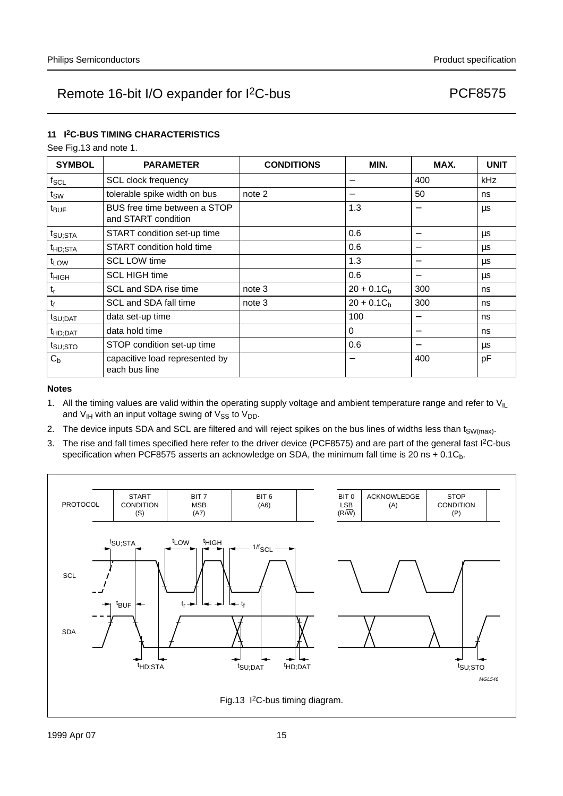### **11 I2C-BUS TIMING CHARACTERISTICS**

See Fig.13 and note 1.

| <b>SYMBOL</b>       | <b>PARAMETER</b>                                    | <b>CONDITIONS</b> | MIN.         | MAX.                     | <b>UNIT</b> |
|---------------------|-----------------------------------------------------|-------------------|--------------|--------------------------|-------------|
| $f_{\rm SCL}$       | <b>SCL clock frequency</b>                          |                   | —            | 400                      | kHz         |
| $t_{SW}$            | tolerable spike width on bus                        | note 2            | —            | 50                       | ns          |
| $t_{\text{BUF}}$    | BUS free time between a STOP<br>and START condition |                   | 1.3          |                          | μs          |
| $t_{\text{SU;STA}}$ | START condition set-up time                         |                   | 0.6          |                          | <b>us</b>   |
| t <sub>HD;STA</sub> | START condition hold time                           |                   | 0.6          | —                        | μs          |
| t <sub>LOW</sub>    | <b>SCL LOW time</b>                                 |                   | 1.3          |                          | μs          |
| t <sub>HIGH</sub>   | <b>SCL HIGH time</b>                                |                   | 0.6          |                          | μs          |
| $t_{r}$             | SCL and SDA rise time                               | note 3            | $20 + 0.1Cb$ | 300                      | ns          |
| $t_f$               | SCL and SDA fall time                               | note 3            | $20 + 0.1Ch$ | 300                      | ns          |
| $t_{\text{SU;DAT}}$ | data set-up time                                    |                   | 100          |                          | ns          |
| $t_{HD;DAT}$        | data hold time                                      |                   | $\Omega$     | $\overline{\phantom{0}}$ | ns          |
| $t_{\text{SU;STO}}$ | STOP condition set-up time                          |                   | 0.6          |                          | μs          |
| $C_{b}$             | capacitive load represented by<br>each bus line     |                   | —            | 400                      | pF          |

#### **Notes**

- 1. All the timing values are valid within the operating supply voltage and ambient temperature range and refer to  $V_{I L}$ and  $V_{IH}$  with an input voltage swing of  $V_{SS}$  to  $V_{DD}$ .
- 2. The device inputs SDA and SCL are filtered and will reject spikes on the bus lines of widths less than t<sub>SW(max)</sub>.
- 3. The rise and fall times specified here refer to the driver device (PCF8575) and are part of the general fast  $1^2C$ -bus specification when PCF8575 asserts an acknowledge on SDA, the minimum fall time is 20 ns  $+$  0.1C<sub>b</sub>.

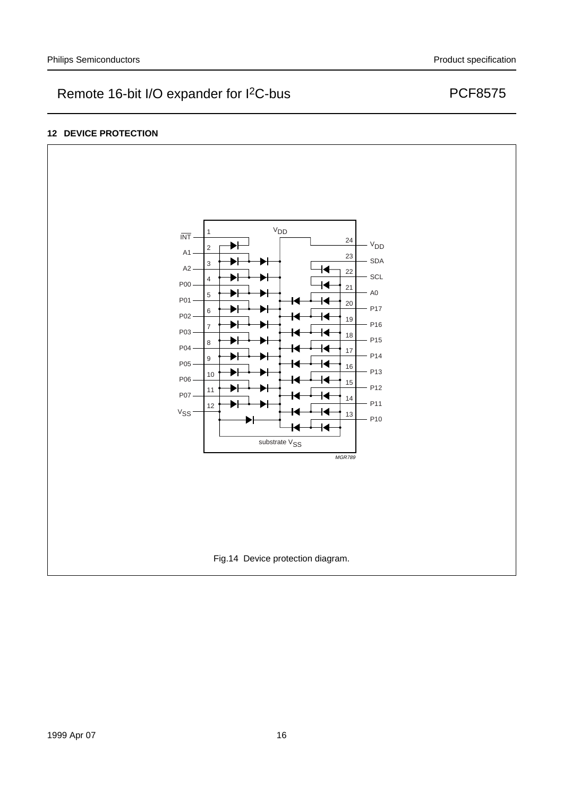### **12 DEVICE PROTECTION**

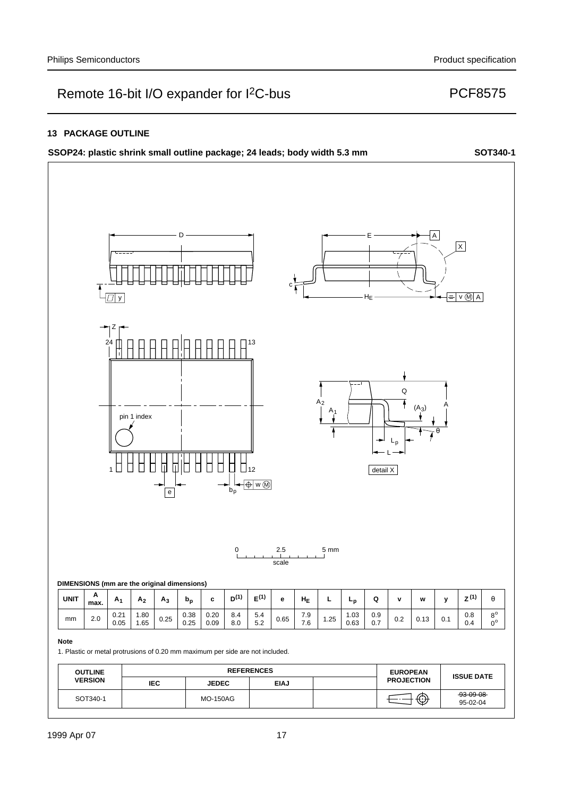#### **13 PACKAGE OUTLINE**

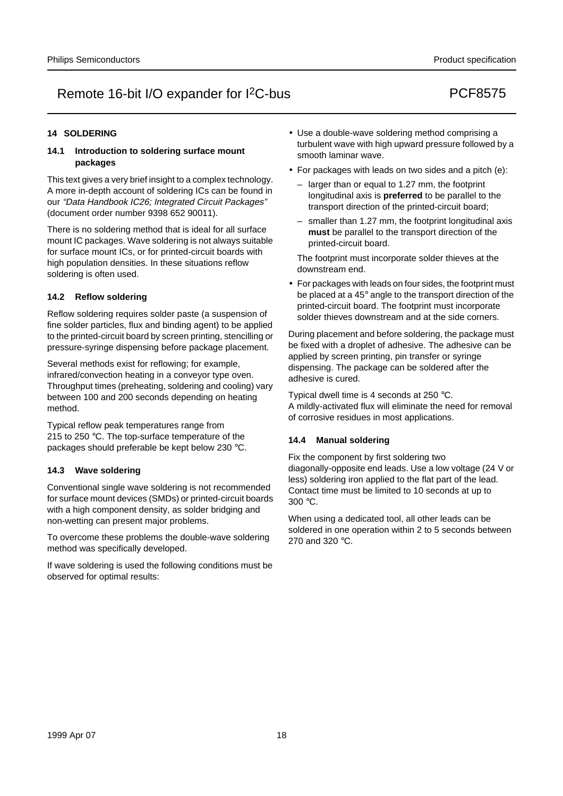### **14 SOLDERING**

#### **14.1 Introduction to soldering surface mount packages**

This text gives a very brief insight to a complex technology. A more in-depth account of soldering ICs can be found in our "Data Handbook IC26; Integrated Circuit Packages" (document order number 9398 652 90011).

There is no soldering method that is ideal for all surface mount IC packages. Wave soldering is not always suitable for surface mount ICs, or for printed-circuit boards with high population densities. In these situations reflow soldering is often used.

#### **14.2 Reflow soldering**

Reflow soldering requires solder paste (a suspension of fine solder particles, flux and binding agent) to be applied to the printed-circuit board by screen printing, stencilling or pressure-syringe dispensing before package placement.

Several methods exist for reflowing; for example, infrared/convection heating in a conveyor type oven. Throughput times (preheating, soldering and cooling) vary between 100 and 200 seconds depending on heating method.

Typical reflow peak temperatures range from 215 to 250 °C. The top-surface temperature of the packages should preferable be kept below 230 °C.

### **14.3 Wave soldering**

Conventional single wave soldering is not recommended for surface mount devices (SMDs) or printed-circuit boards with a high component density, as solder bridging and non-wetting can present major problems.

To overcome these problems the double-wave soldering method was specifically developed.

If wave soldering is used the following conditions must be observed for optimal results:

- Use a double-wave soldering method comprising a turbulent wave with high upward pressure followed by a smooth laminar wave.
- For packages with leads on two sides and a pitch (e):
	- larger than or equal to 1.27 mm, the footprint longitudinal axis is **preferred** to be parallel to the transport direction of the printed-circuit board;
	- smaller than 1.27 mm, the footprint longitudinal axis **must** be parallel to the transport direction of the printed-circuit board.

The footprint must incorporate solder thieves at the downstream end.

• For packages with leads on four sides, the footprint must be placed at a 45° angle to the transport direction of the printed-circuit board. The footprint must incorporate solder thieves downstream and at the side corners.

During placement and before soldering, the package must be fixed with a droplet of adhesive. The adhesive can be applied by screen printing, pin transfer or syringe dispensing. The package can be soldered after the adhesive is cured.

Typical dwell time is 4 seconds at 250 °C. A mildly-activated flux will eliminate the need for removal of corrosive residues in most applications.

#### **14.4 Manual soldering**

Fix the component by first soldering two diagonally-opposite end leads. Use a low voltage (24 V or less) soldering iron applied to the flat part of the lead. Contact time must be limited to 10 seconds at up to 300 °C.

When using a dedicated tool, all other leads can be soldered in one operation within 2 to 5 seconds between 270 and 320 °C.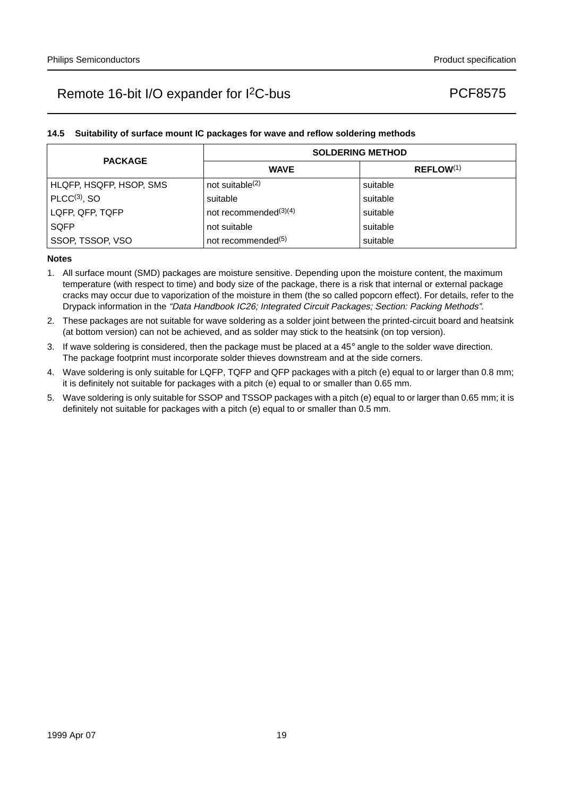### **14.5 Suitability of surface mount IC packages for wave and reflow soldering methods**

| <b>PACKAGE</b>          | <b>SOLDERING METHOD</b>        |                |  |  |
|-------------------------|--------------------------------|----------------|--|--|
|                         | <b>WAVE</b>                    | $REFLOW^{(1)}$ |  |  |
| HLQFP, HSQFP, HSOP, SMS | not suitable <sup>(2)</sup>    | suitable       |  |  |
| $PLCC(3)$ , SO          | suitable                       | suitable       |  |  |
| LQFP, QFP, TQFP         | not recommended $(3)(4)$       | suitable       |  |  |
| <b>SQFP</b>             | not suitable                   | suitable       |  |  |
| SSOP, TSSOP, VSO        | not recommended <sup>(5)</sup> | suitable       |  |  |

#### **Notes**

- 1. All surface mount (SMD) packages are moisture sensitive. Depending upon the moisture content, the maximum temperature (with respect to time) and body size of the package, there is a risk that internal or external package cracks may occur due to vaporization of the moisture in them (the so called popcorn effect). For details, refer to the Drypack information in the "Data Handbook IC26; Integrated Circuit Packages; Section: Packing Methods".
- 2. These packages are not suitable for wave soldering as a solder joint between the printed-circuit board and heatsink (at bottom version) can not be achieved, and as solder may stick to the heatsink (on top version).
- 3. If wave soldering is considered, then the package must be placed at a  $45^\circ$  angle to the solder wave direction. The package footprint must incorporate solder thieves downstream and at the side corners.
- 4. Wave soldering is only suitable for LQFP, TQFP and QFP packages with a pitch (e) equal to or larger than 0.8 mm; it is definitely not suitable for packages with a pitch (e) equal to or smaller than 0.65 mm.
- 5. Wave soldering is only suitable for SSOP and TSSOP packages with a pitch (e) equal to or larger than 0.65 mm; it is definitely not suitable for packages with a pitch (e) equal to or smaller than 0.5 mm.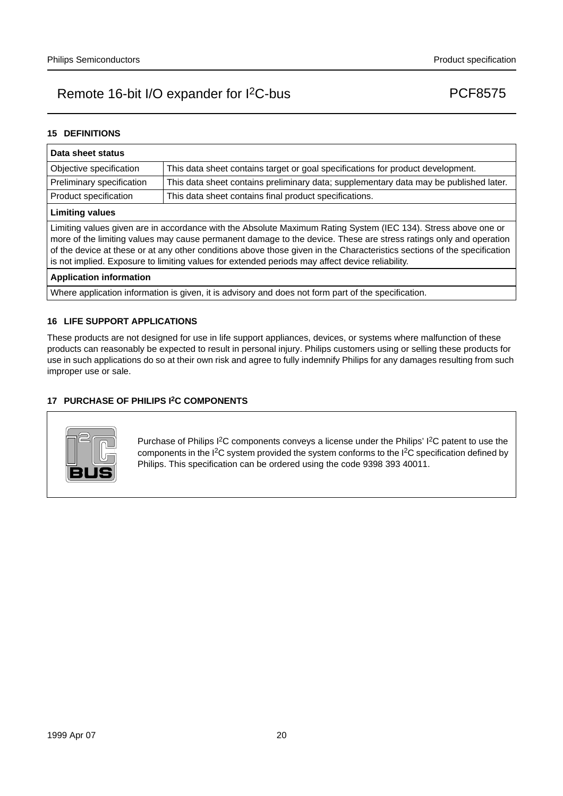### **15 DEFINITIONS**

| Data sheet status                                                                                                                                                                                                                                                                                                                                                                                                                                                  |                                                                                       |  |  |  |
|--------------------------------------------------------------------------------------------------------------------------------------------------------------------------------------------------------------------------------------------------------------------------------------------------------------------------------------------------------------------------------------------------------------------------------------------------------------------|---------------------------------------------------------------------------------------|--|--|--|
| Objective specification                                                                                                                                                                                                                                                                                                                                                                                                                                            | This data sheet contains target or goal specifications for product development.       |  |  |  |
| Preliminary specification                                                                                                                                                                                                                                                                                                                                                                                                                                          | This data sheet contains preliminary data; supplementary data may be published later. |  |  |  |
| Product specification                                                                                                                                                                                                                                                                                                                                                                                                                                              | This data sheet contains final product specifications.                                |  |  |  |
| <b>Limiting values</b>                                                                                                                                                                                                                                                                                                                                                                                                                                             |                                                                                       |  |  |  |
| Limiting values given are in accordance with the Absolute Maximum Rating System (IEC 134). Stress above one or<br>more of the limiting values may cause permanent damage to the device. These are stress ratings only and operation<br>of the device at these or at any other conditions above those given in the Characteristics sections of the specification<br>is not implied. Exposure to limiting values for extended periods may affect device reliability. |                                                                                       |  |  |  |
| <b>Application information</b>                                                                                                                                                                                                                                                                                                                                                                                                                                     |                                                                                       |  |  |  |
| Where application information is given, it is advisory and does not form part of the specification.                                                                                                                                                                                                                                                                                                                                                                |                                                                                       |  |  |  |

#### **16 LIFE SUPPORT APPLICATIONS**

These products are not designed for use in life support appliances, devices, or systems where malfunction of these products can reasonably be expected to result in personal injury. Philips customers using or selling these products for use in such applications do so at their own risk and agree to fully indemnify Philips for any damages resulting from such improper use or sale.

### **17 PURCHASE OF PHILIPS I2C COMPONENTS**



Purchase of Philips I<sup>2</sup>C components conveys a license under the Philips' I<sup>2</sup>C patent to use the components in the I2C system provided the system conforms to the I2C specification defined by Philips. This specification can be ordered using the code 9398 393 40011.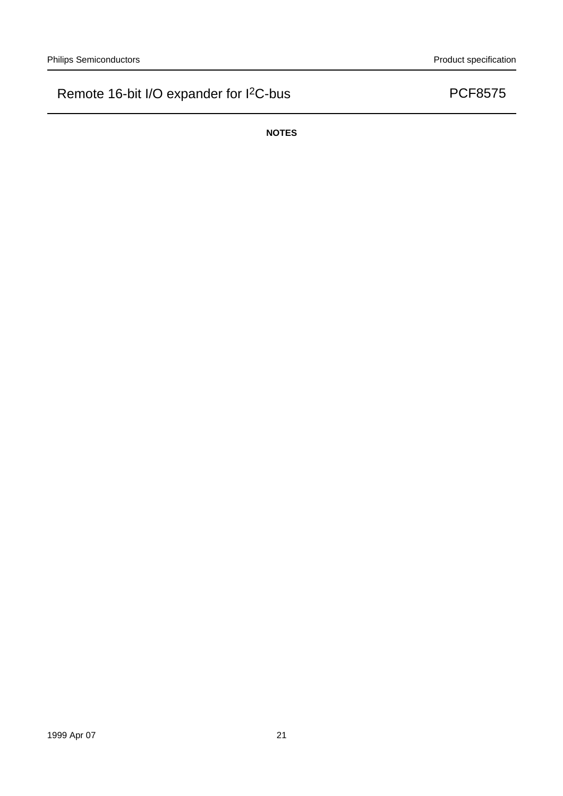**NOTES**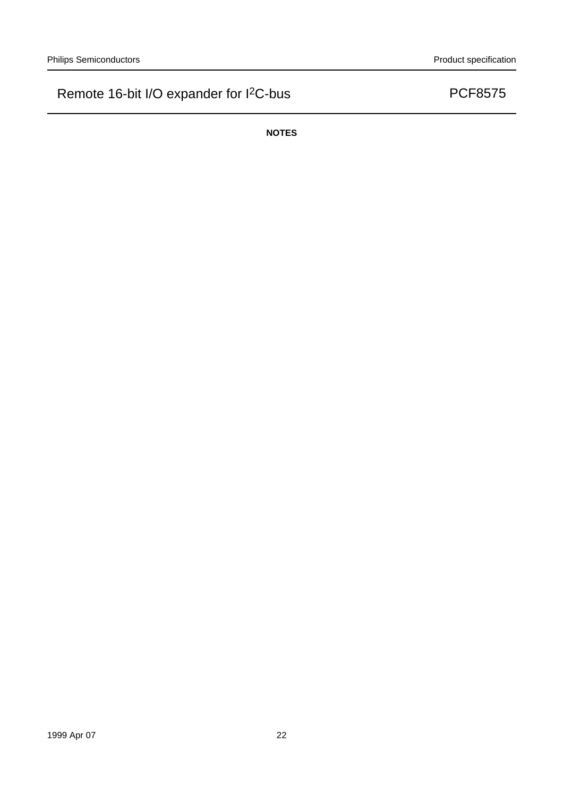**NOTES**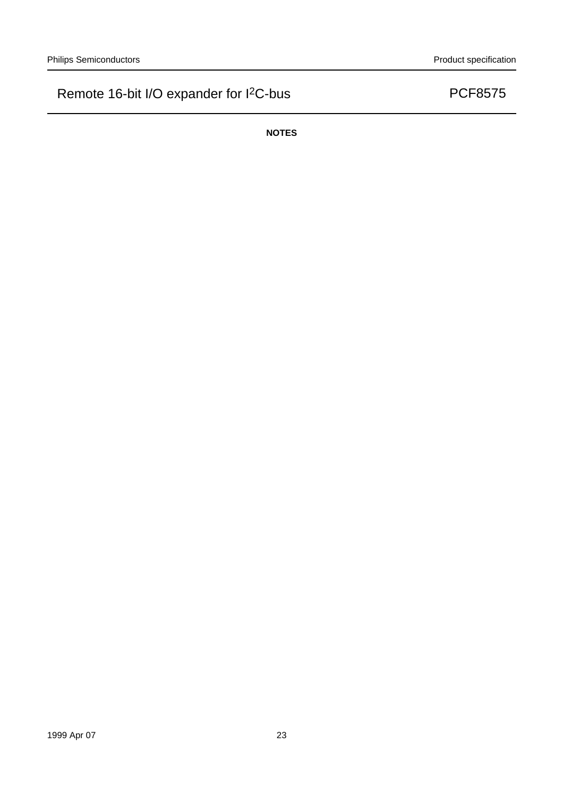**NOTES**